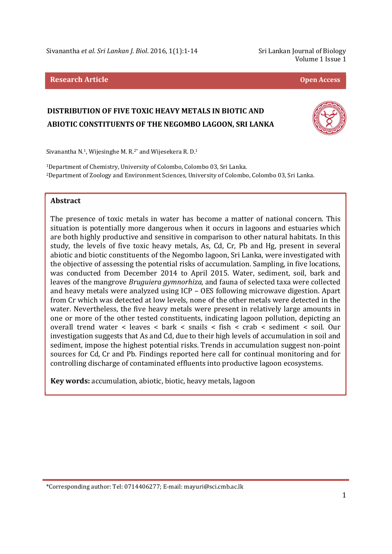Sivanantha *et al. Sri Lankan J. Biol.* 2016, 1(1):1-14 Sri Lankan Journal of Biology

Volume 1 Issue 1

#### **Research Article Open Access**

# **DISTRIBUTION OF FIVE TOXIC HEAVY METALS IN BIOTIC AND ABIOTIC CONSTITUENTS OF THE NEGOMBO LAGOON, SRI LANKA**



Sivanantha N.1, Wijesinghe M. R.2\* and Wijesekera R. D.<sup>1</sup>

<sup>1</sup>Department of Chemistry, University of Colombo, Colombo 03, Sri Lanka. <sup>2</sup>Department of Zoology and Environment Sciences, University of Colombo, Colombo 03, Sri Lanka.

#### **Abstract**

l

The presence of toxic metals in water has become a matter of national concern. This situation is potentially more dangerous when it occurs in lagoons and estuaries which are both highly productive and sensitive in comparison to other natural habitats. In this study, the levels of five toxic heavy metals, As, Cd, Cr, Pb and Hg, present in several abiotic and biotic constituents of the Negombo lagoon, Sri Lanka, were investigated with the objective of assessing the potential risks of accumulation. Sampling, in five locations, was conducted from December 2014 to April 2015. Water, sediment, soil, bark and leaves of the mangrove *Bruguiera gymnorhiza,* and fauna of selected taxa were collected and heavy metals were analyzed using ICP – OES following microwave digestion. Apart from Cr which was detected at low levels, none of the other metals were detected in the water. Nevertheless, the five heavy metals were present in relatively large amounts in one or more of the other tested constituents, indicating lagoon pollution, depicting an overall trend water < leaves < bark < snails < fish < crab < sediment < soil. Our investigation suggests that As and Cd, due to their high levels of accumulation in soil and sediment, impose the highest potential risks. Trends in accumulation suggest non-point sources for Cd, Cr and Pb. Findings reported here call for continual monitoring and for controlling discharge of contaminated effluents into productive lagoon ecosystems.

**Key words:** accumulation, abiotic, biotic, heavy metals, lagoon

<sup>\*</sup>Corresponding author: Tel: 0714406277; E-mail: mayuri@sci.cmb.ac.lk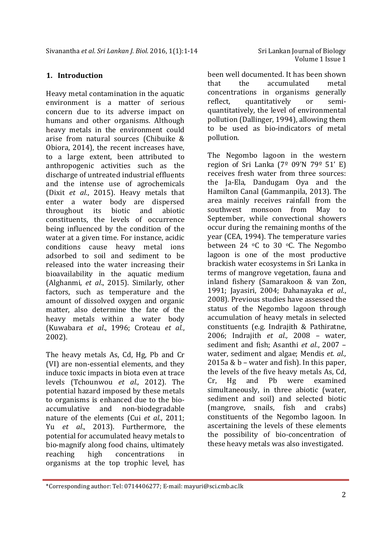### **1. Introduction**

Heavy metal contamination in the aquatic environment is a matter of serious concern due to its adverse impact on humans and other organisms. Although heavy metals in the environment could arise from natural sources (Chibuike & Obiora, 2014), the recent increases have, to a large extent, been attributed to anthropogenic activities such as the discharge of untreated industrial effluents and the intense use of agrochemicals (Dixit *et al*., 2015). Heavy metals that enter a water body are dispersed throughout its biotic and abiotic constituents, the levels of occurrence being influenced by the condition of the water at a given time. For instance, acidic conditions cause heavy metal ions adsorbed to soil and sediment to be released into the water increasing their bioavailability in the aquatic medium (Alghanmi, *et al*., 2015). Similarly, other factors, such as temperature and the amount of dissolved oxygen and organic matter, also determine the fate of the heavy metals within a water body (Kuwabara *et al*., 1996; Croteau *et al.*, 2002).

The heavy metals As, Cd, Hg, Pb and Cr (VI) are non-essential elements, and they induce toxic impacts in biota even at trace levels (Tchounwou *et al.,* 2012). The potential hazard imposed by these metals to organisms is enhanced due to the bioaccumulative and non-biodegradable nature of the elements (Cui *et al*., 2011; Yu *et al*., 2013). Furthermore, the potential for accumulated heavy metals to bio-magnify along food chains, ultimately reaching high concentrations in organisms at the top trophic level, has

l

been well documented. It has been shown that the accumulated metal concentrations in organisms generally reflect, quantitatively or semiquantitatively, the level of environmental pollution (Dallinger, 1994), allowing them to be used as bio-indicators of metal pollution.

The Negombo lagoon in the western region of Sri Lanka  $(7^{\circ}$  09'N  $79^{\circ}$  51' E) receives fresh water from three sources: the Ja-Ela, Dandugam Oya and the Hamilton Canal (Gammanpila, 2013). The area mainly receives rainfall from the southwest monsoon from May to September, while convectional showers occur during the remaining months of the year (CEA, 1994). The temperature varies between 24  $\degree$ C to 30  $\degree$ C. The Negombo lagoon is one of the most productive brackish water ecosystems in Sri Lanka in terms of mangrove vegetation, fauna and inland fishery (Samarakoon & van Zon, 1991; Jayasiri, 2004; Dahanayaka *et al*., 2008). Previous studies have assessed the status of the Negombo lagoon through accumulation of heavy metals in selected constituents (e.g. Indrajith & Pathiratne, 2006; Indrajith *et al.,* 2008 – water, sediment and fish; Asanthi *et al*., 2007 – water, sediment and algae; Mendis *et. al.,* 2015a &  $b$  – water and fish). In this paper, the levels of the five heavy metals As, Cd, Cr, Hg and Pb were examined simultaneously, in three abiotic (water, sediment and soil) and selected biotic (mangrove, snails, fish and crabs) constituents of the Negombo lagoon. In ascertaining the levels of these elements the possibility of bio-concentration of these heavy metals was also investigated.

<sup>\*</sup>Corresponding author: Tel: 0714406277; E-mail: mayuri@sci.cmb.ac.lk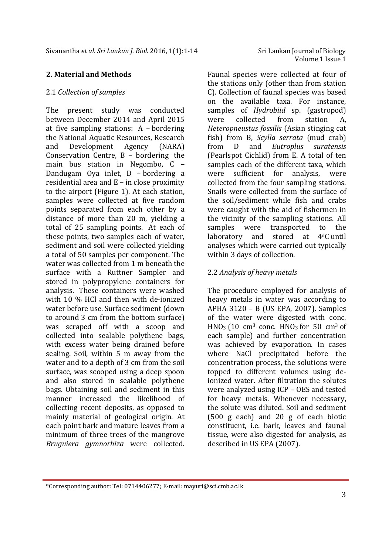### **2. Material and Methods**

#### 2.1 *Collection of samples*

The present study was conducted between December 2014 and April 2015 at five sampling stations: A – bordering the National Aquatic Resources, Research and Development Agency (NARA) Conservation Centre, B – bordering the main bus station in Negombo, C – Dandugam Oya inlet, D – bordering a residential area and E – in close proximity to the airport (Figure 1). At each station, samples were collected at five random points separated from each other by a distance of more than 20 m, yielding a total of 25 sampling points. At each of these points, two samples each of water, sediment and soil were collected yielding a total of 50 samples per component. The water was collected from 1 m beneath the surface with a Ruttner Sampler and stored in polypropylene containers for analysis. These containers were washed with 10 % HCl and then with de-ionized water before use. Surface sediment (down to around 3 cm from the bottom surface) was scraped off with a scoop and collected into sealable polythene bags, with excess water being drained before sealing. Soil, within 5 m away from the water and to a depth of 3 cm from the soil surface, was scooped using a deep spoon and also stored in sealable polythene bags. Obtaining soil and sediment in this manner increased the likelihood of collecting recent deposits, as opposed to mainly material of geological origin. At each point bark and mature leaves from a minimum of three trees of the mangrove *Bruguiera gymnorhiza* were collected.

Faunal species were collected at four of the stations only (other than from station C). Collection of faunal species was based on the available taxa. For instance, samples of *Hydrobiid* sp. (gastropod) were collected from station A, *Heteropneustus fossilis* (Asian stinging cat fish) from B, *Scylla serrata* (mud crab) from D and *Eutroplus suratensis* (Pearlspot Cichlid) from E. A total of ten samples each of the different taxa, which were sufficient for analysis, were collected from the four sampling stations. Snails were collected from the surface of the soil/sediment while fish and crabs were caught with the aid of fishermen in the vicinity of the sampling stations. All samples were transported to the laboratory and stored at 4oC until analyses which were carried out typically within 3 days of collection.

### 2.2 *Analysis of heavy metals*

The procedure employed for analysis of heavy metals in water was according to APHA 3120 – B (US EPA, 2007). Samples of the water were digested with conc.  $HNO<sub>3</sub>$  (10 cm<sup>3</sup> conc.  $HNO<sub>3</sub>$  for 50 cm<sup>3</sup> of each sample) and further concentration was achieved by evaporation. In cases where NaCl precipitated before the concentration process, the solutions were topped to different volumes using deionized water. After filtration the solutes were analyzed using ICP – OES and tested for heavy metals. Whenever necessary, the solute was diluted. Soil and sediment (500 g each) and 20 g of each biotic constituent, i.e. bark, leaves and faunal tissue, were also digested for analysis, as described in US EPA (2007).

l

<sup>\*</sup>Corresponding author: Tel: 0714406277; E-mail: mayuri@sci.cmb.ac.lk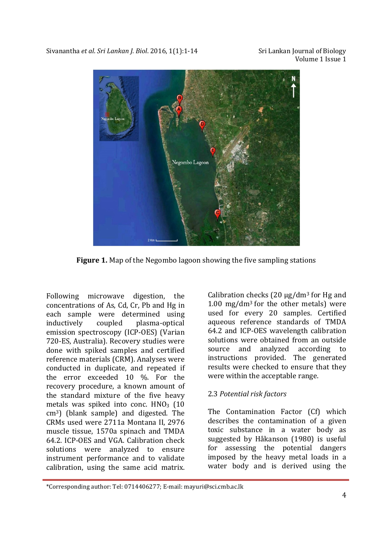

**Figure 1.** Map of the Negombo lagoon showing the five sampling stations

Following microwave digestion, the concentrations of As, Cd, Cr, Pb and Hg in each sample were determined using inductively coupled plasma-optical emission spectroscopy (ICP-OES) (Varian 720-ES, Australia). Recovery studies were done with spiked samples and certified reference materials (CRM). Analyses were conducted in duplicate, and repeated if the error exceeded 10 %. For the recovery procedure, a known amount of the standard mixture of the five heavy metals was spiked into conc.  $HNO<sub>3</sub>$  (10 cm3) (blank sample) and digested. The CRMs used were 2711a Montana II, 2976 muscle tissue, 1570a spinach and TMDA 64.2. ICP-OES and VGA. Calibration check solutions were analyzed to ensure instrument performance and to validate calibration, using the same acid matrix.

l

Calibration checks  $(20 \mu g/dm^3)$  for Hg and 1.00 mg/dm<sup>3</sup> for the other metals) were used for every 20 samples. Certified aqueous reference standards of TMDA 64.2 and ICP-OES wavelength calibration solutions were obtained from an outside source and analyzed according to instructions provided. The generated results were checked to ensure that they were within the acceptable range.

# 2.3 *Potential risk factors*

The Contamination Factor (Cf) which describes the contamination of a given toxic substance in a water body as suggested by Håkanson (1980) is useful for assessing the potential dangers imposed by the heavy metal loads in a water body and is derived using the

<sup>\*</sup>Corresponding author: Tel: 0714406277; E-mail: mayuri@sci.cmb.ac.lk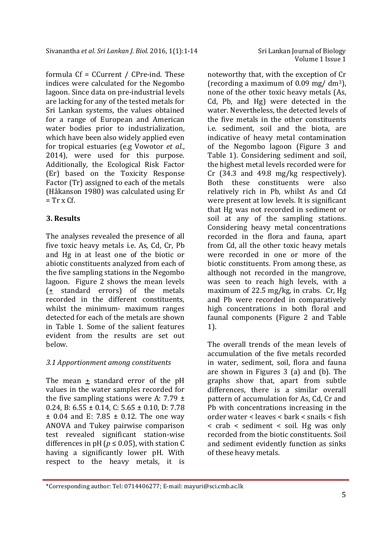formula Cf = CCurrent / CPre-ind. These indices were calculated for the Negombo lagoon. Since data on pre-industrial levels are lacking for any of the tested metals for Sri Lankan systems, the values obtained for a range of European and American water bodies prior to industrialization, which have been also widely applied even for tropical estuaries (e.g Vowotor *et al*., 2014), were used for this purpose. Additionally, the Ecological Risk Factor (Er) based on the Toxicity Response Factor (Tr) assigned to each of the metals (Håkanson 1980) was calculated using Er  $=$  Tr x Cf.

### **3. Results**

l

The analyses revealed the presence of all five toxic heavy metals i.e. As, Cd, Cr, Pb and Hg in at least one of the biotic or abiotic constituents analyzed from each of the five sampling stations in the Negombo lagoon. Figure 2 shows the mean levels  $($  the standard errors) of the metals recorded in the different constituents, whilst the minimum- maximum ranges detected for each of the metals are shown in Table 1. Some of the salient features evident from the results are set out below.

# *3.1 Apportionment among constituents*

The mean + standard error of the pH values in the water samples recorded for the five sampling stations were A:  $7.79 \pm$ 0.24, B:  $6.55 \pm 0.14$ , C:  $5.65 \pm 0.10$ , D: 7.78  $\pm$  0.04 and E: 7.85  $\pm$  0.12. The one way ANOVA and Tukey pairwise comparison test revealed significant station-wise differences in pH ( $p \le 0.05$ ), with station C having a significantly lower pH. With respect to the heavy metals, it is

noteworthy that, with the exception of Cr (recording a maximum of  $0.09$  mg/ dm<sup>3</sup>). none of the other toxic heavy metals (As, Cd, Pb, and Hg) were detected in the water. Nevertheless, the detected levels of the five metals in the other constituents i.e. sediment, soil and the biota, are indicative of heavy metal contamination of the Negombo lagoon (Figure 3 and Table 1). Considering sediment and soil, the highest metal levels recorded were for Cr (34.3 and 49.8 mg/kg respectively). Both these constituents were also relatively rich in Pb, whilst As and Cd were present at low levels. It is significant that Hg was not recorded in sediment or soil at any of the sampling stations. Considering heavy metal concentrations recorded in the flora and fauna, apart from Cd, all the other toxic heavy metals were recorded in one or more of the biotic constituents. From among these, as although not recorded in the mangrove, was seen to reach high levels, with a maximum of 22.5 mg/kg, in crabs. Cr, Hg and Pb were recorded in comparatively high concentrations in both floral and faunal components (Figure 2 and Table 1).

The overall trends of the mean levels of accumulation of the five metals recorded in water, sediment, soil, flora and fauna are shown in Figures 3 (a) and (b). The graphs show that, apart from subtle differences, there is a similar overall pattern of accumulation for As, Cd, Cr and Pb with concentrations increasing in the order water < leaves < bark < snails < fish < crab < sediment < soil. Hg was only recorded from the biotic constituents. Soil and sediment evidently function as sinks of these heavy metals.

<sup>\*</sup>Corresponding author: Tel: 0714406277; E-mail: mayuri@sci.cmb.ac.lk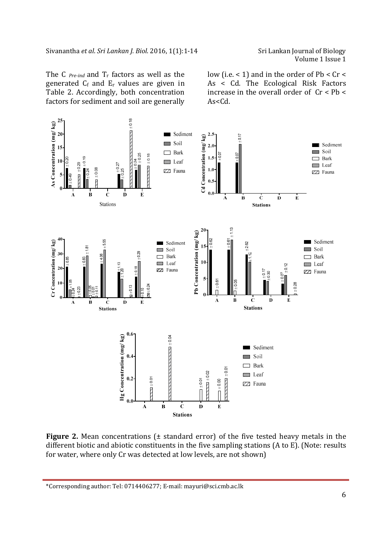Volume 1 Issue 1

The C *Pre-ind* and  $T_r$  factors as well as the generated  $C_f$  and  $E_r$  values are given in Table 2. Accordingly, both concentration factors for sediment and soil are generally low (i.e.  $< 1$ ) and in the order of Pb  $< Cr <$ As < Cd. The Ecological Risk Factors increase in the overall order of  $Cr < Pb <$ As<Cd.



**Figure 2.** Mean concentrations ( $\pm$  standard error) of the five tested heavy metals in the different biotic and abiotic constituents in the five sampling stations (A to E). (Note: results for water, where only Cr was detected at low levels, are not shown)

\*Corresponding author: Tel: 0714406277; E-mail: mayuri@sci.cmb.ac.lk

l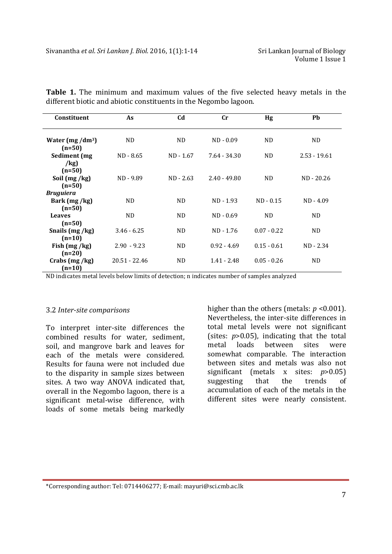| Constituent                                  | As              | C <sub>d</sub> | $\mathbf{C}$ r | Hg             | Pb             |
|----------------------------------------------|-----------------|----------------|----------------|----------------|----------------|
| Water $(mg/dm^3)$<br>$(n=50)$                | ND.             | ND.            | $ND - 0.09$    | ND.            | ND.            |
| Sediment (mg                                 | ND - 8.65       | ND - 1.67      | $7.64 - 34.30$ | N <sub>D</sub> | $2.53 - 19.61$ |
| /kg)<br>$(n=50)$<br>Soil (mg/kg)<br>$(n=50)$ | ND - 9.89       | $ND - 2.63$    | $2.40 - 49.80$ | ND.            | ND - 20.26     |
| <b>Bruguiera</b><br>Bark (mg/kg)             | ND.             | <b>ND</b>      | $ND - 1.93$    | $ND - 0.15$    | $ND - 4.09$    |
| $(n=50)$<br><b>Leaves</b>                    | ND.             | ND.            | $ND - 0.69$    | ND.            | ND.            |
| $(n=50)$                                     |                 |                |                | $0.07 - 0.22$  |                |
| Snails (mg/kg)<br>$(n=10)$                   | $3.46 - 6.25$   | ND.            | ND - 1.76      |                | ND.            |
| Fish $(mg/kg)$<br>$(n=20)$                   | $2.90 - 9.23$   | ND.            | $0.92 - 4.69$  | $0.15 - 0.61$  | $ND - 2.34$    |
| Crabs (mg /kg)<br>$(n=10)$                   | $20.51 - 22.46$ | <b>ND</b>      | $1.41 - 2.48$  | $0.05 - 0.26$  | N <sub>D</sub> |

**Table 1.** The minimum and maximum values of the five selected heavy metals in the different biotic and abiotic constituents in the Negombo lagoon.

ND indicates metal levels below limits of detection; n indicates number of samples analyzed

#### 3.2 *Inter-site comparisons*

l

To interpret inter-site differences the combined results for water, sediment, soil, and mangrove bark and leaves for each of the metals were considered. Results for fauna were not included due to the disparity in sample sizes between sites. A two way ANOVA indicated that, overall in the Negombo lagoon, there is a significant metal-wise difference, with loads of some metals being markedly

higher than the others (metals: *p* <0.001). Nevertheless, the inter-site differences in total metal levels were not significant (sites: *p*>0.05), indicating that the total metal loads between sites were somewhat comparable. The interaction between sites and metals was also not significant (metals x sites: *p*>0.05) suggesting that the trends of accumulation of each of the metals in the different sites were nearly consistent.

\*Corresponding author: Tel: 0714406277; E-mail: mayuri@sci.cmb.ac.lk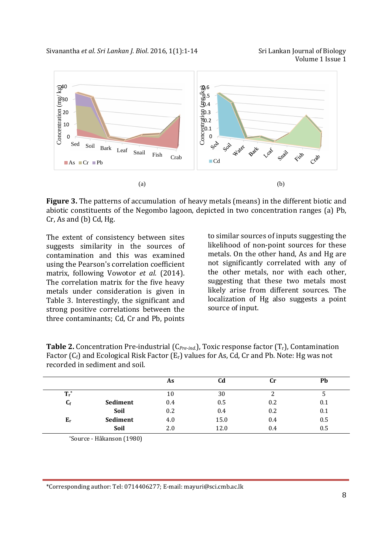Sivanantha *et al. Sri Lankan J. Biol.* 2016, 1(1):1-14 Sri Lankan Journal of Biology



**Figure 3.** The patterns of accumulation of heavy metals (means) in the different biotic and abiotic constituents of the Negombo lagoon, depicted in two concentration ranges (a) Pb, Cr, As and (b) Cd, Hg.

The extent of consistency between sites suggests similarity in the sources of contamination and this was examined using the Pearson's correlation coefficient matrix, following Vowotor *et al.* (2014). The correlation matrix for the five heavy metals under consideration is given in Table 3. Interestingly, the significant and strong positive correlations between the three contaminants; Cd, Cr and Pb, points

to similar sources of inputs suggesting the likelihood of non-point sources for these metals. On the other hand, As and Hg are not significantly correlated with any of the other metals, nor with each other, suggesting that these two metals most likely arise from different sources. The localization of Hg also suggests a point source of input.

| Tactor (of) and beorgetal Risk Factor (b) values for hs, ou, or and Fb. Hotel Hg was not<br>recorded in sediment and soil. |          |     |      |     |     |  |
|----------------------------------------------------------------------------------------------------------------------------|----------|-----|------|-----|-----|--|
|                                                                                                                            |          | As  | Cd   | Сr  | Ph  |  |
| $T_r^*$                                                                                                                    |          | 10  | 30   |     |     |  |
| $C_f$                                                                                                                      | Sediment | 0.4 | 0.5  | 0.2 | 0.1 |  |
|                                                                                                                            | Soil     | 0.2 | 0.4  | 0.2 | 0.1 |  |
| $E_r$                                                                                                                      | Sediment | 4.0 | 15.0 | 0.4 | 0.5 |  |
|                                                                                                                            | Soil     | 2.0 | 12.0 | 0.4 | 0.5 |  |

**Table 2.** Concentration Pre-industrial (C*Pre-ind.*), Toxic response factor (Tr), Contamination Factor (Cf) and Ecological Risk Factor (Er) values for As, Cd, Cr and Pb. Note: Hg was not

\*Source - Håkanson (1980)

l

\*Corresponding author: Tel: 0714406277; E-mail: mayuri@sci.cmb.ac.lk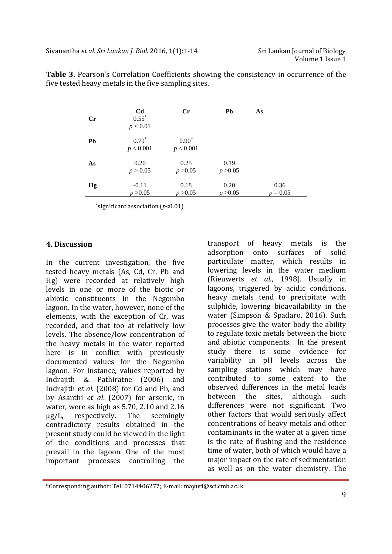|    | C <sub>d</sub>       | $\mathbf{C}$ r       | Pb               | As                 |  |
|----|----------------------|----------------------|------------------|--------------------|--|
| Cr | $0.55^*$<br>p < 0.01 |                      |                  |                    |  |
| Pb | $0.79*$<br>p < 0.001 | $0.90*$<br>p < 0.001 |                  |                    |  |
| As | 0.20<br>p > 0.05     | 0.25<br>p > 0.05     | 0.19<br>p > 0.05 |                    |  |
| Hg | $-0.11$<br>p > 0.05  | 0.18<br>p > 0.05     | 0.20<br>p > 0.05 | 0.36<br>$p = 0.05$ |  |

**Table 3.** Pearson's Correlation Coefficients showing the consistency in occurrence of the five tested heavy metals in the five sampling sites.

\*significant association (*p*<0.01)

#### **4. Discussion**

l

In the current investigation, the five tested heavy metals (As, Cd, Cr, Pb and Hg) were recorded at relatively high levels in one or more of the biotic or abiotic constituents in the Negombo lagoon. In the water, however, none of the elements, with the exception of Cr, was recorded, and that too at relatively low levels. The absence/low concentration of the heavy metals in the water reported here is in conflict with previously documented values for the Negombo lagoon. For instance, values reported by Indrajith & Pathiratne (2006) and Indrajith *et al.* (2008) for Cd and Pb, and by Asanthi *et al*. (2007) for arsenic, in water, were as high as 5.70, 2.10 and 2.16 µg/L, respectively. The seemingly contradictory results obtained in the present study could be viewed in the light of the conditions and processes that prevail in the lagoon. One of the most important processes controlling the

transport of heavy metals is the adsorption onto surfaces of solid particulate matter, which results in lowering levels in the water medium (Rieuwerts *et al*., 1998). Usually in lagoons, triggered by acidic conditions, heavy metals tend to precipitate with sulphide, lowering bioavailability in the water (Simpson & Spadaro, 2016). Such processes give the water body the ability to regulate toxic metals between the biotc and abiotic components. In the present study there is some evidence for variability in pH levels across the sampling stations which may have contributed to some extent to the observed differences in the metal loads between the sites, although such differences were not significant. Two other factors that would seriously affect concentrations of heavy metals and other contaminants in the water at a given time is the rate of flushing and the residence time of water, both of which would have a major impact on the rate of sedimentation as well as on the water chemistry. The

<sup>\*</sup>Corresponding author: Tel: 0714406277; E-mail: mayuri@sci.cmb.ac.lk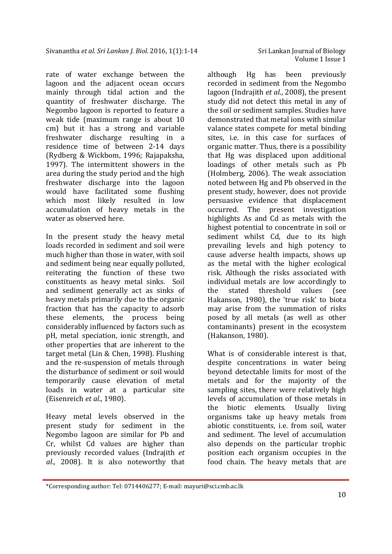rate of water exchange between the lagoon and the adjacent ocean occurs mainly through tidal action and the quantity of freshwater discharge. The Negombo lagoon is reported to feature a weak tide (maximum range is about 10 cm) but it has a strong and variable freshwater discharge resulting in a residence time of between 2-14 days (Rydberg & Wickbom, 1996; Rajapaksha, 1997). The intermittent showers in the area during the study period and the high freshwater discharge into the lagoon would have facilitated some flushing which most likely resulted in low accumulation of heavy metals in the water as observed here.

In the present study the heavy metal loads recorded in sediment and soil were much higher than those in water, with soil and sediment being near equally polluted, reiterating the function of these two constituents as heavy metal sinks. Soil and sediment generally act as sinks of heavy metals primarily due to the organic fraction that has the capacity to adsorb these elements, the process being considerably influenced by factors such as pH, metal speciation, ionic strength, and other properties that are inherent to the target metal (Lin & Chen, 1998). Flushing and the re-suspension of metals through the disturbance of sediment or soil would temporarily cause elevation of metal loads in water at a particular site (Eisenreich *et al*., 1980).

Heavy metal levels observed in the present study for sediment in the Negombo lagoon are similar for Pb and Cr, whilst Cd values are higher than previously recorded values (Indrajith *et al*., 2008). It is also noteworthy that

l

although Hg has been previously recorded in sediment from the Negombo lagoon (Indrajith *et al*., 2008), the present study did not detect this metal in any of the soil or sediment samples. Studies have demonstrated that metal ions with similar valance states compete for metal binding sites, i.e. in this case for surfaces of organic matter. Thus, there is a possibility that Hg was displaced upon additional loadings of other metals such as Pb (Holmberg, 2006). The weak association noted between Hg and Pb observed in the present study, however, does not provide persuasive evidence that displacement occurred. The present investigation highlights As and Cd as metals with the highest potential to concentrate in soil or sediment whilst Cd, due to its high prevailing levels and high potency to cause adverse health impacts, shows up as the metal with the higher ecological risk. Although the risks associated with individual metals are low accordingly to the stated threshold values (see Hakanson, 1980), the 'true risk' to biota may arise from the summation of risks posed by all metals (as well as other contaminants) present in the ecosystem (Hakanson, 1980).

What is of considerable interest is that, despite concentrations in water being beyond detectable limits for most of the metals and for the majority of the sampling sites, there were relatively high levels of accumulation of those metals in the biotic elements. Usually living organisms take up heavy metals from abiotic constituents, i.e. from soil, water and sediment. The level of accumulation also depends on the particular trophic position each organism occupies in the food chain. The heavy metals that are

<sup>\*</sup>Corresponding author: Tel: 0714406277; E-mail: mayuri@sci.cmb.ac.lk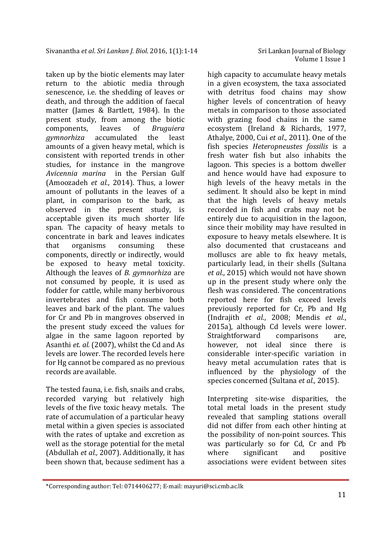taken up by the biotic elements may later return to the abiotic media through senescence, i.e. the shedding of leaves or death, and through the addition of faecal matter (James & Bartlett, 1984). In the present study, from among the biotic components, leaves of *Bruguiera gymnorhiza* accumulated the least amounts of a given heavy metal, which is consistent with reported trends in other studies, for instance in the mangrove *Avicennia marina* in the Persian Gulf (Amoozadeh *et al.*, 2014). Thus, a lower amount of pollutants in the leaves of a plant, in comparison to the bark, as observed in the present study, is acceptable given its much shorter life span. The capacity of heavy metals to concentrate in bark and leaves indicates that organisms consuming these components, directly or indirectly, would be exposed to heavy metal toxicity. Although the leaves of *B. gymnorhiza* are not consumed by people, it is used as fodder for cattle, while many herbivorous invertebrates and fish consume both leaves and bark of the plant. The values for Cr and Pb in mangroves observed in the present study exceed the values for algae in the same lagoon reported by Asanthi *et. al.* (2007), whilst the Cd and As levels are lower. The recorded levels here for Hg cannot be compared as no previous records are available.

The tested fauna, i.e. fish, snails and crabs, recorded varying but relatively high levels of the five toxic heavy metals. The rate of accumulation of a particular heavy metal within a given species is associated with the rates of uptake and excretion as well as the storage potential for the metal (Abdullah *et al.,* 2007). Additionally, it has been shown that, because sediment has a

l

high capacity to accumulate heavy metals in a given ecosystem, the taxa associated with detritus food chains may show higher levels of concentration of heavy metals in comparison to those associated with grazing food chains in the same ecosystem (Ireland & Richards, 1977, Athalye, 2000, Cui *et al*., 2011). One of the fish species *Heteropneustes fossilis* is a fresh water fish but also inhabits the lagoon. This species is a bottom dweller and hence would have had exposure to high levels of the heavy metals in the sediment. It should also be kept in mind that the high levels of heavy metals recorded in fish and crabs may not be entirely due to acquisition in the lagoon, since their mobility may have resulted in exposure to heavy metals elsewhere. It is also documented that crustaceans and molluscs are able to fix heavy metals, particularly lead, in their shells (Sultana *et al.,* 2015) which would not have shown up in the present study where only the flesh was considered. The concentrations reported here for fish exceed levels previously reported for Cr, Pb and Hg (Indrajith *et al*., 2008; Mendis *et al*., 2015a), although Cd levels were lower. Straightforward comparisons are, however, not ideal since there is considerable inter-specific variation in heavy metal accumulation rates that is influenced by the physiology of the species concerned (Sultana *et al.,* 2015).

Interpreting site-wise disparities, the total metal loads in the present study revealed that sampling stations overall did not differ from each other hinting at the possibility of non-point sources. This was particularly so for Cd, Cr and Pb where significant and positive associations were evident between sites

<sup>\*</sup>Corresponding author: Tel: 0714406277; E-mail: mayuri@sci.cmb.ac.lk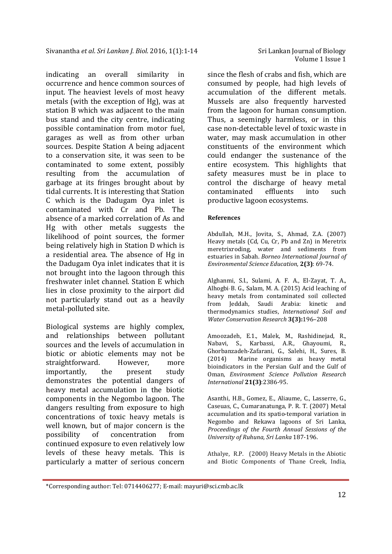indicating an overall similarity in occurrence and hence common sources of input. The heaviest levels of most heavy metals (with the exception of Hg), was at station B which was adjacent to the main bus stand and the city centre, indicating possible contamination from motor fuel, garages as well as from other urban sources. Despite Station A being adjacent to a conservation site, it was seen to be contaminated to some extent, possibly resulting from the accumulation of garbage at its fringes brought about by tidal currents. It is interesting that Station C which is the Dadugam Oya inlet is contaminated with Cr and Pb. The absence of a marked correlation of As and Hg with other metals suggests the likelihood of point sources, the former being relatively high in Station D which is a residential area. The absence of Hg in the Dadugam Oya inlet indicates that it is not brought into the lagoon through this freshwater inlet channel. Station E which lies in close proximity to the airport did not particularly stand out as a heavily metal-polluted site.

Biological systems are highly complex, and relationships between pollutant sources and the levels of accumulation in biotic or abiotic elements may not be straightforward. However, more importantly, the present study demonstrates the potential dangers of heavy metal accumulation in the biotic components in the Negombo lagoon. The dangers resulting from exposure to high concentrations of toxic heavy metals is well known, but of major concern is the possibility of concentration from continued exposure to even relatively low levels of these heavy metals. This is particularly a matter of serious concern

l

Volume 1 Issue 1

since the flesh of crabs and fish, which are consumed by people, had high levels of accumulation of the different metals. Mussels are also frequently harvested from the lagoon for human consumption. Thus, a seemingly harmless, or in this case non-detectable level of toxic waste in water, may mask accumulation in other constituents of the environment which could endanger the sustenance of the entire ecosystem. This highlights that safety measures must be in place to control the discharge of heavy metal contaminated effluents into such productive lagoon ecosystems.

#### **References**

Abdullah, M.H., Jovita, S., Ahmad, Z.A. (2007) Heavy metals (Cd, Cu, Cr, Pb and Zn) in Meretrix meretrixroding, water and sediments from estuaries in Sabah. *Borneo International Journal of Environmental Science Education*, **2(3)**: 69-74.

Alghanmi, S.I., Sulami, A. F. A., El-Zayat, T. A., Alhogbi, B. G., Salam, M. A. (2015) Acid leaching of heavy metals from contaminated soil collected from Jeddah, Saudi Arabia: kinetic and thermodynamics studies, *International Soil and Water Conservation Research* **3(3):**196–208

Amoozadeh, E.1., Malek, M., Rashidinejad, R., Nabavi, S., Karbassi, A.R., Ghayoumi, R., Ghorbanzadeh-Zafarani, G., Salehi, H., Sures, B. (2014) Marine organisms as heavy metal bioindicators in the Persian Gulf and the Gulf of Oman, *Environment Science Pollution Research International* **21(3)**:2386-95.

Asanthi, H.B., Gomez, E., Aliaume, C., Lasserre, G., Caseuas, C., Cumaranatunga, P. R. T. (2007) Metal accumulation and its spatio-temporal variation in Negombo and Rekawa lagoons of Sri Lanka, *Proceedings of the Fourth Annual Sessions of the University of Ruhuna, Sri Lanka* 187-196.

Athalye, R.P. (2000) Heavy Metals in the Abiotic and Biotic Components of Thane Creek, India,

<sup>\*</sup>Corresponding author: Tel: 0714406277; E-mail: mayuri@sci.cmb.ac.lk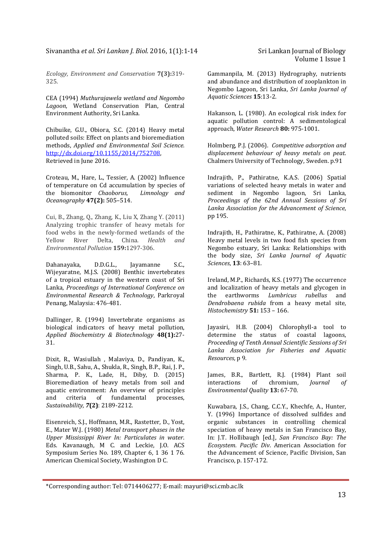*Ecology, Environment and Conservation* **7(3):**319- 325.

CEA (1994) *Muthurajawela wetland and Negombo Lagoon*, Wetland Conservation Plan, Central Environment Authority, Sri Lanka.

Chibuike, G.U., Obiora, S.C. (2014) Heavy metal polluted soils: Effect on plants and bioremediation methods, *Applied and Environmental Soil Science.*  http://dx.doi.org/10.1155/2014/752708, Retrieved in June 2016.

Croteau, M., Hare, L., Tessier, A. (2002) Influence of temperature on Cd accumulation by species of the biomonitor *Chaoborus, Limnology and Oceanography* **47(2):** 505–514.

Cui, B., Zhang, Q., Zhang, K., Liu X, Zhang Y. (2011) Analyzing trophic transfer of heavy metals for food webs in the newly-formed wetlands of the Yellow River Delta, China. *Health and Environmental Pollution* **159:**1297-306.

Dahanayaka, D.D.G.L., Jayamanne S.C., Wijeyaratne, M.J.S. (2008) Benthic invertebrates of a tropical estuary in the western coast of Sri Lanka, *Proceedings of International Conference on Environmental Research & Technology*, Parkroyal Penang, Malaysia: 476-481.

Dallinger, R. (1994) Invertebrate organisms as biological indicators of heavy metal pollution, *Applied Biochemistry & Biotechnology* **48(1):**27- 31.

Dixit, R., Wasiullah , Malaviya, D., Pandiyan, K., Singh, U.B., Sahu, A., Shukla, R., Singh, B.P., Rai, J. P., Sharma, P. K., Lade, H., Diby, D. (2015) Bioremediation of heavy metals from soil and aquatic environment: An overview of principles and criteria of fundamental processes, *Sustainability, 7***(2)**: 2189-2212.

Eisenreich, S.J., Hoffmann, M.R., Rastetter, D., Yost, E., Mater W.J. (1980) *Metal transport phases in the Upper Mississippi River In: Particulates in water*. Eds. Kavanaugh, M C. and Leckie, J.O. ACS Symposium Series No. 189, Chapter 6, 1 36 1 76. American Chemical Society, Washington D C.

l

Gammanpila, M. (2013) Hydrography, nutrients and abundance and distribution of zooplankton in Negombo Lagoon, Sri Lanka, *Sri Lanka Journal of Aquatic Sciences* **15**:13-2.

Hakanson, L. (1980). An ecological risk index for aquatic pollution control: A sedimentological approach, *Water Research* **80:** 975-1001.

Holmberg, P.J. (2006). *Competitive adsorption and displacement behaviour of heavy metals on peat*. Chalmers University of Technology, Sweden. p.91

Indrajith, P., Pathiratne, K.A.S. (2006) Spatial variations of selected heavy metals in water and sediment in Negombo lagoon, Sri Lanka, *Proceedings of the 62nd Annual Sessions of Sri Lanka Association for the Advancement of Science*, pp 195.

Indrajith, H., Pathiratne, K., Pathiratne, A. (2008) Heavy metal levels in two food fish species from Negombo estuary, Sri Lanka: Relationships with the body size, *Sri Lanka Journal of Aquatic Sciences*, **13**: 63–81.

Ireland, M.P., Richards, K.S. (1977) The occurrence and localization of heavy metals and glycogen in the earthworms *Lumbricus rubellus* and *Dendrobaena rubida* from a heavy metal site, *Histochemistry* **51:** 153 – 166.

Jayasiri, H.B. (2004) Chlorophyll-a tool to determine the status of coastal lagoons, *Proceeding of Tenth Annual Scientific Sessions of Sri Lanka Association for Fisheries and Aquatic Resources,* p 9.

James, B.R., Bartlett, R.J. (1984) Plant soil interactions of chromium, *Journal of Environmental Quality* **13:** 67-70.

Kuwabara, J.S., Chang, C.C.Y., Khechfe, A., Hunter, Y. (1996) Importance of dissolved sulfides and organic substances in controlling chemical speciation of heavy metals in San Francisco Bay, In: J.T. Hollibaugh [ed.], *San Francisco Bay: The Ecosystem. Pacific Div*. American Association for the Advancement of Science, Pacific Division, San Francisco, p. 157-172.

<sup>\*</sup>Corresponding author: Tel: 0714406277; E-mail: mayuri@sci.cmb.ac.lk